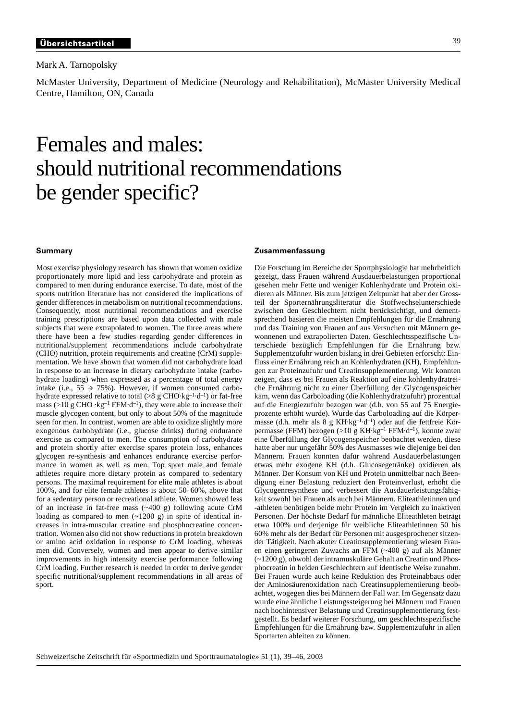Mark A. Tarnopolsky

McMaster University, Department of Medicine (Neurology and Rehabilitation), McMaster University Medical Centre, Hamilton, ON, Canada

# Females and males: should nutritional recommendations be gender specific?

## **Summary**

Most exercise physiology research has shown that women oxidize proportionately more lipid and less carbohydrate and protein as compared to men during endurance exercise. To date, most of the sports nutrition literature has not considered the implications of gender differences in metabolism on nutritional recommendations. Consequently, most nutritional recommendations and exercise training prescriptions are based upon data collected with male subjects that were extrapolated to women. The three areas where there have been a few studies regarding gender differences in nutritional/supplement recommendations include carbohydrate (CHO) nutrition, protein requirements and creatine (CrM) supplementation. We have shown that women did not carbohydrate load in response to an increase in dietary carbohydrate intake (carbohydrate loading) when expressed as a percentage of total energy intake (i.e.,  $55 \rightarrow 75\%$ ). However, if women consumed carbohydrate expressed relative to total  $($ >8 g CHO·kg<sup>-1</sup>·d<sup>-1</sup>) or fat-free mass (>10 g CHO ·kg<sup>-1</sup> FFM·d<sup>-1</sup>), they were able to increase their muscle glycogen content, but only to about 50% of the magnitude seen for men. In contrast, women are able to oxidize slightly more exogenous carbohydrate (i.e., glucose drinks) during endurance exercise as compared to men. The consumption of carbohydrate and protein shortly after exercise spares protein loss, enhances glycogen re-synthesis and enhances endurance exercise performance in women as well as men. Top sport male and female athletes require more dietary protein as compared to sedentary persons. The maximal requirement for elite male athletes is about 100%, and for elite female athletes is about 50–60%, above that for a sedentary person or recreational athlete. Women showed less of an increase in fat-free mass (~400 g) following acute CrM loading as compared to men  $(\sim 1200 \text{ g})$  in spite of identical increases in intra-muscular creatine and phosphocreatine concentration. Women also did not show reductions in protein breakdown or amino acid oxidation in response to CrM loading, whereas men did. Conversely, women and men appear to derive similar improvements in high intensity exercise performance following CrM loading. Further research is needed in order to derive gender specific nutritional/supplement recommendations in all areas of sport.

# **Zusammenfassung**

Die Forschung im Bereiche der Sportphysiologie hat mehrheitlich gezeigt, dass Frauen während Ausdauerbelastungen proportional gesehen mehr Fette und weniger Kohlenhydrate und Protein oxidieren als Männer. Bis zum jetzigen Zeitpunkt hat aber der Grossteil der Sporternährungsliteratur die Stoffwechselunterschiede zwischen den Geschlechtern nicht berücksichtigt, und dementsprechend basieren die meisten Empfehlungen für die Ernährung und das Training von Frauen auf aus Versuchen mit Männern gewonnenen und extrapolierten Daten. Geschlechtsspezifische Unterschiede bezüglich Empfehlungen für die Ernährung bzw. Supplementzufuhr wurden bislang in drei Gebieten erforscht: Einfluss einer Ernährung reich an Kohlenhydraten (KH), Empfehlungen zur Proteinzufuhr und Creatinsupplementierung. Wir konnten zeigen, dass es bei Frauen als Reaktion auf eine kohlenhydratreiche Ernährung nicht zu einer Überfüllung der Glycogenspeicher kam, wenn das Carboloading (die Kohlenhydratzufuhr) prozentual auf die Energiezufuhr bezogen war (d.h. von 55 auf 75 Energieprozente erhöht wurde). Wurde das Carboloading auf die Körpermasse (d.h. mehr als 8 g KH·kg–1·d–1) oder auf die fettfreie Körpermasse (FFM) bezogen (>10 g KH·kg–1 FFM·d–1), konnte zwar eine Überfüllung der Glycogenspeicher beobachtet werden, diese hatte aber nur ungefähr 50% des Ausmasses wie diejenige bei den Männern. Frauen konnten dafür während Ausdauerbelastungen etwas mehr exogene KH (d.h. Glucosegetränke) oxidieren als Männer. Der Konsum von KH und Protein unmittelbar nach Beendigung einer Belastung reduziert den Proteinverlust, erhöht die Glycogenresynthese und verbessert die Ausdauerleistungsfähigkeit sowohl bei Frauen als auch bei Männern. Eliteathletinnen und -athleten benötigen beide mehr Protein im Vergleich zu inaktiven Personen. Der höchste Bedarf für männliche Eliteathleten beträgt etwa 100% und derjenige für weibliche Eliteathletinnen 50 bis 60% mehr als der Bedarf für Personen mit ausgesprochener sitzender Tätigkeit. Nach akuter Creatinsupplementierung wiesen Frauen einen geringeren Zuwachs an FFM (~400 g) auf als Männer (~1200 g), obwohl der intramuskuläre Gehalt an Creatin und Phosphocreatin in beiden Geschlechtern auf identische Weise zunahm. Bei Frauen wurde auch keine Reduktion des Proteinabbaus oder der Aminosäurenoxidation nach Creatinsupplementierung beobachtet, wogegen dies bei Männern der Fall war. Im Gegensatz dazu wurde eine ähnliche Leistungssteigerung bei Männern und Frauen nach hochintensiver Belastung und Creatinsupplementierung festgestellt. Es bedarf weiterer Forschung, um geschlechtsspezifische Empfehlungen für die Ernährung bzw. Supplementzufuhr in allen Sportarten ableiten zu können.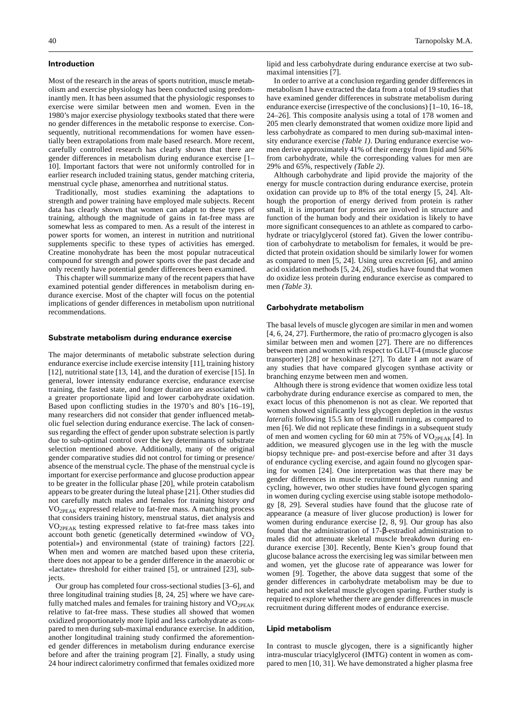## **Introduction**

Most of the research in the areas of sports nutrition, muscle metabolism and exercise physiology has been conducted using predominantly men. It has been assumed that the physiologic responses to exercise were similar between men and women. Even in the 1980's major exercise physiology textbooks stated that there were no gender differences in the metabolic response to exercise. Consequently, nutritional recommendations for women have essentially been extrapolations from male based research. More recent, carefully controlled research has clearly shown that there are gender differences in metabolism during endurance exercise [1– 10]. Important factors that were not uniformly controlled for in earlier research included training status, gender matching criteria, menstrual cycle phase, amenorrhea and nutritional status.

Traditionally, most studies examining the adaptations to strength and power training have employed male subjects. Recent data has clearly shown that women can adapt to these types of training, although the magnitude of gains in fat-free mass are somewhat less as compared to men. As a result of the interest in power sports for women, an interest in nutrition and nutritional supplements specific to these types of activities has emerged. Creatine monohydrate has been the most popular nutraceutical compound for strength and power sports over the past decade and only recently have potential gender differences been examined.

This chapter will summarize many of the recent papers that have examined potential gender differences in metabolism during endurance exercise. Most of the chapter will focus on the potential implications of gender differences in metabolism upon nutritional recommendations.

#### **Substrate metabolism during endurance exercise**

The major determinants of metabolic substrate selection during endurance exercise include exercise intensity [11], training history [12], nutritional state [13, 14], and the duration of exercise [15]. In general, lower intensity endurance exercise, endurance exercise training, the fasted state, and longer duration are associated with a greater proportionate lipid and lower carbohydrate oxidation. Based upon conflicting studies in the 1970's and 80's [16–19], many researchers did not consider that gender influenced metabolic fuel selection during endurance exercise. The lack of consensus regarding the effect of gender upon substrate selection is partly due to sub-optimal control over the key determinants of substrate selection mentioned above. Additionally, many of the original gender comparative studies did not control for timing or presence/ absence of the menstrual cycle. The phase of the menstrual cycle is important for exercise performance and glucose production appear to be greater in the follicular phase [20], while protein catabolism appears to be greater during the luteal phase [21]. Other studies did not carefully match males and females for training history *and*  $VO<sub>2PEAK</sub> expressed relative to fat-free mass. A matching process$ that considers training history, menstrual status, diet analysis and VO2PEAK testing expressed relative to fat-free mass takes into account both genetic (genetically determined «window of  $VO<sub>2</sub>$ potential») and environmental (state of training) factors [22]. When men and women are matched based upon these criteria, there does not appear to be a gender difference in the anaerobic or «lactate» threshold for either trained [5], or untrained [23], subjects.

Our group has completed four cross-sectional studies [3–6], and three longitudinal training studies [8, 24, 25] where we have carefully matched males and females for training history and VO<sub>2PEAK</sub> relative to fat-free mass. These studies all showed that women oxidized proportionately more lipid and less carbohydrate as compared to men during sub-maximal endurance exercise. In addition, another longitudinal training study confirmed the aforementioned gender differences in metabolism during endurance exercise before and after the training program [2]. Finally, a study using 24 hour indirect calorimetry confirmed that females oxidized more lipid and less carbohydrate during endurance exercise at two submaximal intensities [7].

In order to arrive at a conclusion regarding gender differences in metabolism I have extracted the data from a total of 19 studies that have examined gender differences in substrate metabolism during endurance exercise (irrespective of the conclusions) [1–10, 16–18, 24–26]. This composite analysis using a total of 178 women and 205 men clearly demonstrated that women oxidize more lipid and less carbohydrate as compared to men during sub-maximal intensity endurance exercise *(Table 1)*. During endurance exercise women derive approximately 41% of their energy from lipid and 56% from carbohydrate, while the corresponding values for men are 29% and 65%, respectively *(Table 2)*.

Although carbohydrate and lipid provide the majority of the energy for muscle contraction during endurance exercise, protein oxidation can provide up to 8% of the total energy [5, 24]. Although the proportion of energy derived from protein is rather small, it is important for proteins are involved in structure and function of the human body and their oxidation is likely to have more significant consequences to an athlete as compared to carbohydrate or triacylglycerol (stored fat). Given the lower contribution of carbohydrate to metabolism for females, it would be predicted that protein oxidation should be similarly lower for women as compared to men [5, 24]. Using urea excretion [6], and amino acid oxidation methods [5, 24, 26], studies have found that women do oxidize less protein during endurance exercise as compared to men *(Table 3)*.

## **Carbohydrate metabolism**

The basal levels of muscle glycogen are similar in men and women [4, 6, 24, 27]. Furthermore, the ratio of pro:macro glycogen is also similar between men and women [27]. There are no differences between men and women with respect to GLUT-4 (muscle glucose transporter) [28] or hexokinase [27]. To date I am not aware of any studies that have compared glycogen synthase activity or branching enzyme between men and women.

Although there is strong evidence that women oxidize less total carbohydrate during endurance exercise as compared to men, the exact locus of this phenomenon is not as clear. We reported that women showed significantly less glycogen depletion in the *vastus lateralis* following 15.5 km of treadmill running, as compared to men [6]. We did not replicate these findings in a subsequent study of men and women cycling for 60 min at 75% of VO<sub>2PEAK</sub> [4]. In addition, we measured glycogen use in the leg with the muscle biopsy technique pre- and post-exercise before and after 31 days of endurance cycling exercise, and again found no glycogen sparing for women [24]. One interpretation was that there may be gender differences in muscle recruitment between running and cycling, however, two other studies have found glycogen sparing in women during cycling exercise using stable isotope methodology [8, 29]. Several studies have found that the glucose rate of appearance (a measure of liver glucose production) is lower for women during endurance exercise [2, 8, 9]. Our group has also found that the administration of 17-β-estradiol administration to males did not attenuate skeletal muscle breakdown during endurance exercise [30]. Recently, Bente Kien's group found that glucose balance across the exercising leg was similar between men and women, yet the glucose rate of appearance was lower for women [9]. Together, the above data suggest that some of the gender differences in carbohydrate metabolism may be due to hepatic and not skeletal muscle glycogen sparing. Further study is required to explore whether there are gender differences in muscle recruitment during different modes of endurance exercise.

## **Lipid metabolism**

In contrast to muscle glycogen, there is a significantly higher intra-muscular triacylglycerol (IMTG) content in women as compared to men [10, 31]. We have demonstrated a higher plasma free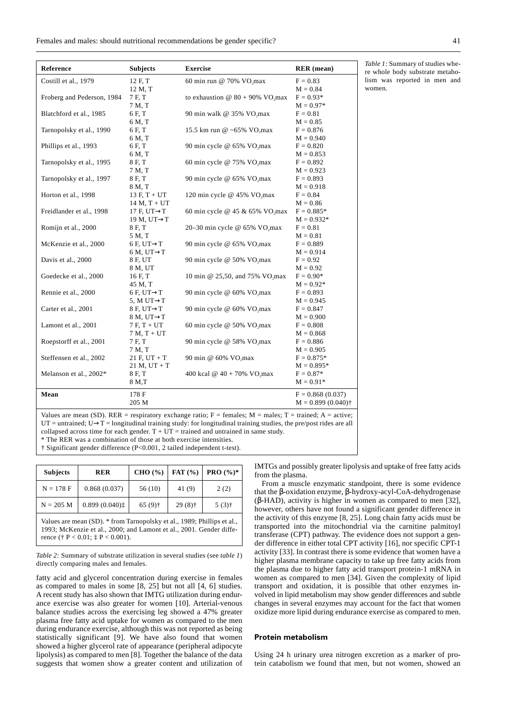Females and males: should nutritional recommendations be gender specific? 41

| Reference                  | <b>Subjects</b>          | <b>Exercise</b>                                 | <b>RER</b> (mean)    |
|----------------------------|--------------------------|-------------------------------------------------|----------------------|
| Costill et al., 1979       | 12 F, T                  | 60 min run @ 70% $VO_2$ max                     | $F = 0.83$           |
|                            | 12 M, T                  |                                                 | $M = 0.84$           |
| Froberg and Pederson, 1984 | 7 F.T                    | to exhaustion @ $80 + 90\%$ VO <sub>2</sub> max | $F = 0.93*$          |
|                            | 7 M, T                   |                                                 | $M = 0.97*$          |
| Blatchford et al., 1985    | 6 F, T                   | 90 min walk @ 35% VO,max                        | $F = 0.81$           |
|                            | 6 M, T                   |                                                 | $M = 0.85$           |
| Tarnopolsky et al., 1990   | 6 F, T                   | 15.5 km run @ ~65% VO,max                       | $F = 0.876$          |
|                            | 6 M, T                   |                                                 | $M = 0.940$          |
| Phillips et al., 1993      | 6 F, T                   | 90 min cycle @ 65% VO,max                       | $F = 0.820$          |
|                            | 6 M, T                   |                                                 | $M = 0.853$          |
| Tarnopolsky et al., 1995   | 8 F, T                   | 60 min cycle @ 75% VO, max                      | $F = 0.892$          |
|                            | 7 M, T                   |                                                 | $M = 0.923$          |
| Tarnopolsky et al., 1997   | 8 F, T                   | 90 min cycle @ 65% VO,max                       | $F = 0.893$          |
|                            | 8 M, T                   |                                                 | $M = 0.918$          |
| Horton et al., 1998        | $13 F, T + UT$           | 120 min cycle @ 45% VO <sub>2</sub> max         | $F = 0.84$           |
|                            | $14 M, T + UT$           |                                                 | $M = 0.86$           |
| Freidlander et al., 1998   | 17 F, UT $\rightarrow$ T | 60 min cycle @ 45 & 65% VO, max                 | $F = 0.885*$         |
|                            | 19 M, UT $\rightarrow$ T |                                                 | $M = 0.932*$         |
| Romijn et al., 2000        | 8 F, T                   | 20-30 min cycle @ 65% VO, max                   | $F = 0.81$           |
|                            | 5 M, T                   |                                                 | $M = 0.81$           |
| McKenzie et al., 2000      | 6 F, UT $\rightarrow$ T  | 90 min cycle @ 65% VO,max                       | $F = 0.889$          |
|                            | $6 M, UT \rightarrow T$  |                                                 | $M = 0.914$          |
| Davis et al., 2000         | 8 F, UT                  | 90 min cycle @ 50% VO,max                       | $F = 0.92$           |
|                            | 8 M, UT                  |                                                 | $M = 0.92$           |
| Goedecke et al., 2000      | 16 F, T                  | 10 min @ 25,50, and 75% VO, max                 | $F = 0.90*$          |
|                            | 45 M, T                  |                                                 | $M = 0.92*$          |
| Rennie et al., 2000        | $6 F, UT \rightarrow T$  | 90 min cycle @ 60% VO,max                       | $F = 0.893$          |
|                            | 5, M UT $\rightarrow$ T  |                                                 | $M = 0.945$          |
| Carter et al., 2001        | $8 F, UT \rightarrow T$  | 90 min cycle @ 60% VO,max                       | $F = 0.847$          |
|                            | $8 M, UT \rightarrow T$  |                                                 | $M = 0.900$          |
| Lamont et al., 2001        | $7F, T+UT$               | 60 min cycle @ 50% VO,max                       | $F = 0.808$          |
|                            | $7 M, T + UT$            |                                                 | $M = 0.868$          |
| Roepstorff et al., 2001    | 7 F, T                   | 90 min cycle @ 58% VO,max                       | $F = 0.886$          |
|                            | 7M, T                    |                                                 | $M = 0.905$          |
| Steffensen et al., 2002    | $21 F, UT + T$           | 90 min @ 60% VO,max                             | $F = 0.875*$         |
|                            | $21 M, UT + T$           |                                                 | $M = 0.895*$         |
| Melanson et al., 2002*     | 8 F, T                   | 400 kcal @ $40 + 70\%$ VO, max                  | $F = 0.87*$          |
|                            | 8 M, T                   |                                                 | $M = 0.91*$          |
| Mean                       | 178 F                    |                                                 | $F = 0.868(0.037)$   |
|                            | 205 M                    |                                                 | $M = 0.899(0.040)$ † |

*Table 1:* Summary of studies where whole body substrate metabolism was reported in men and women.

Values are mean (SD). RER = respiratory exchange ratio;  $F =$  females;  $M =$  males;  $T =$  trained;  $A =$  active; UT = untrained; U $\rightarrow$ T = longitudinal training study: for longitudinal training studies, the pre/post rides are all collapsed across time for each gender.  $T + UT =$  trained and untrained in same study. \* The RER was a combination of those at both exercise intensities.

† Significant gender difference (P<0.001, 2 tailed independent t-test).

| <b>Subjects</b> | <b>RER</b>                                                                                                                                  | CHO (%)   | FAT $(% )$ | <b>PRO</b> $(\%)^*$ |
|-----------------|---------------------------------------------------------------------------------------------------------------------------------------------|-----------|------------|---------------------|
| $N = 178 F$     | 0.868(0.037)                                                                                                                                | 56 (10)   | 41 (9)     | 2(2)                |
| $N = 205 M$     | 0.899(0.040)                                                                                                                                | $65(9)$ † | $29(8)$ †  | $5(3)$ <sup>†</sup> |
|                 | Values are mean (SD). * from Tarnopolsky et al., 1989; Phillips et al.,<br>$1002$ M V $\rightarrow$ 1 0000 11 $\rightarrow$ 1 0001 C 1 1200 |           |            |                     |

1993; McKenzie et al., 2000; and Lamont et al., 2001. Gender difference († P < 0.01; ‡ P < 0.001).

*Table 2:* Summary of substrate utilization in several studies (see *table 1*) directly comparing males and females.

fatty acid and glycerol concentration during exercise in females as compared to males in some [8, 25] but not all [4, 6] studies. A recent study has also shown that IMTG utilization during endurance exercise was also greater for women [10]. Arterial-venous balance studies across the exercising leg showed a 47% greater plasma free fatty acid uptake for women as compared to the men during endurance exercise, although this was not reported as being statistically significant [9]. We have also found that women showed a higher glycerol rate of appearance (peripheral adipocyte lipolysis) as compared to men [8]. Together the balance of the data suggests that women show a greater content and utilization of IMTGs and possibly greater lipolysis and uptake of free fatty acids from the plasma.

From a muscle enzymatic standpoint, there is some evidence that the β-oxidation enzyme, β-hydroxy-acyl-CoA-dehydrogenase (β-HAD), activity is higher in women as compared to men [32], however, others have not found a significant gender difference in the activity of this enzyme [8, 25]. Long chain fatty acids must be transported into the mitochondrial via the carnitine palmitoyl transferase (CPT) pathway. The evidence does not support a gender difference in either total CPT activity [16], nor specific CPT-1 activity [33]. In contrast there is some evidence that women have a higher plasma membrane capacity to take up free fatty acids from the plasma due to higher fatty acid transport protein-1 mRNA in women as compared to men [34]. Given the complexity of lipid transport and oxidation, it is possible that other enzymes involved in lipid metabolism may show gender differences and subtle changes in several enzymes may account for the fact that women oxidize more lipid during endurance exercise as compared to men.

# **Protein metabolism**

Using 24 h urinary urea nitrogen excretion as a marker of protein catabolism we found that men, but not women, showed an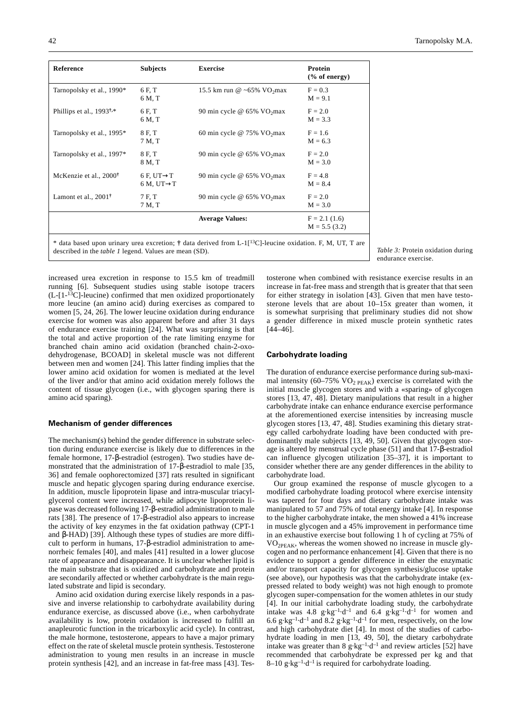| Reference                           | <b>Subjects</b>                                       | <b>Exercise</b>                           | Protein<br>% of energy)          |
|-------------------------------------|-------------------------------------------------------|-------------------------------------------|----------------------------------|
| Tarnopolsky et al., 1990*           | 6 F.T<br>6 M, T                                       | 15.5 km run @ ~65% $VO2$ vmax             | $F = 0.3$<br>$M = 9.1$           |
| Phillips et al., $1993^{\dagger,*}$ | 6 F, T<br>6 M, T                                      | 90 min cycle @ $65\%$ VO <sub>2</sub> max | $F = 2.0$<br>$M = 3.3$           |
| Tarnopolsky et al., 1995*           | 8 F, T<br>7 M, T                                      | 60 min cycle @ $75\%$ VO <sub>2</sub> max | $F = 1.6$<br>$M = 6.3$           |
| Tarnopolsky et al., 1997*           | 8 F, T<br>8 M, T                                      | 90 min cycle @ $65\%$ VO <sub>2</sub> max | $F = 2.0$<br>$M = 3.0$           |
| McKenzie et al., 2000 <sup>†</sup>  | 6 F, UT $\rightarrow$ T<br>$6 M$ , UT $\rightarrow$ T | 90 min cycle @ $65\%$ VO <sub>2</sub> max | $F = 4.8$<br>$M = 8.4$           |
| Lamont et al., $2001^{\dagger}$     | 7 F.T<br>7 M, T                                       | 90 min cycle @ 65% VO <sub>2</sub> max    | $F = 2.0$<br>$M = 3.0$           |
|                                     |                                                       | <b>Average Values:</b>                    | $F = 2.1(1.6)$<br>$M = 5.5(3.2)$ |

\* data based upon urinary urea excretion; **†** data derived from L-1[13C]-leucine oxidation. F, M, UT, T are described in the *table 1* legend. Values are mean (SD). *Table 3:* Protein oxidation during

increased urea excretion in response to 15.5 km of treadmill running [6]. Subsequent studies using stable isotope tracers (L-[1-13C]-leucine) confirmed that men oxidized proportionately more leucine (an amino acid) during exercises as compared to women [5, 24, 26]. The lower leucine oxidation during endurance exercise for women was also apparent before and after 31 days of endurance exercise training [24]. What was surprising is that the total and active proportion of the rate limiting enzyme for branched chain amino acid oxidation (branched chain-2-oxodehydrogenase, BCOAD] in skeletal muscle was not different between men and women [24]. This latter finding implies that the lower amino acid oxidation for women is mediated at the level of the liver and/or that amino acid oxidation merely follows the content of tissue glycogen (i.e., with glycogen sparing there is amino acid sparing).

# **Mechanism of gender differences**

The mechanism(s) behind the gender difference in substrate selection during endurance exercise is likely due to differences in the female hormone, 17-β-estradiol (estrogen). Two studies have demonstrated that the administration of 17-β-estradiol to male [35, 36] and female oophorectomized [37] rats resulted in significant muscle and hepatic glycogen sparing during endurance exercise. In addition, muscle lipoprotein lipase and intra-muscular triacylglycerol content were increased, while adipocyte lipoprotein lipase was decreased following 17-β-estradiol administration to male rats [38]. The presence of 17-β-estradiol also appears to increase the activity of key enzymes in the fat oxidation pathway (CPT-1 and β-HAD) [39]. Although these types of studies are more difficult to perform in humans, 17-β-estradiol administration to amenorrheic females [40], and males [41] resulted in a lower glucose rate of appearance and disappearance. It is unclear whether lipid is the main substrate that is oxidized and carbohydrate and protein are secondarily affected or whether carbohydrate is the main regulated substrate and lipid is secondary.

Amino acid oxidation during exercise likely responds in a passive and inverse relationship to carbohydrate availability during endurance exercise, as discussed above (i.e., when carbohydrate availability is low, protein oxidation is increased to fulfill an anapleurotic function in the tricarboxylic acid cycle). In contrast, the male hormone, testosterone, appears to have a major primary effect on the rate of skeletal muscle protein synthesis. Testosterone administration to young men results in an increase in muscle protein synthesis [42], and an increase in fat-free mass [43]. Testosterone when combined with resistance exercise results in an increase in fat-free mass and strength that is greater that that seen for either strategy in isolation [43]. Given that men have testosterone levels that are about 10–15x greater than women, it is somewhat surprising that preliminary studies did not show a gender difference in mixed muscle protein synthetic rates [44–46].

## **Carbohydrate loading**

The duration of endurance exercise performance during sub-maximal intensity (60–75%  $VO<sub>2 PEAK</sub>$ ) exercise is correlated with the initial muscle glycogen stores and with a «sparing» of glycogen stores [13, 47, 48]. Dietary manipulations that result in a higher carbohydrate intake can enhance endurance exercise performance at the aforementioned exercise intensities by increasing muscle glycogen stores [13, 47, 48]. Studies examining this dietary strategy called carbohydrate loading have been conducted with predominantly male subjects [13, 49, 50]. Given that glycogen storage is altered by menstrual cycle phase (51] and that 17-β-estradiol can influence glycogen utilization [35–37], it is important to consider whether there are any gender differences in the ability to carbohydrate load.

Our group examined the response of muscle glycogen to a modified carbohydrate loading protocol where exercise intensity was tapered for four days and dietary carbohydrate intake was manipulated to 57 and 75% of total energy intake [4]. In response to the higher carbohydrate intake, the men showed a 41% increase in muscle glycogen and a 45% improvement in performance time in an exhaustive exercise bout following 1 h of cycling at 75% of VO2PEAK, whereas the women showed no increase in muscle glycogen and no performance enhancement [4]. Given that there is no evidence to support a gender difference in either the enzymatic and/or transport capacity for glycogen synthesis/glucose uptake (see above), our hypothesis was that the carbohydrate intake (expressed related to body weight) was not high enough to promote glycogen super-compensation for the women athletes in our study [4]. In our initial carbohydrate loading study, the carbohydrate intake was  $4.8 \text{ g} \cdot \text{kg}^{-1} \cdot \text{d}^{-1}$  and  $6.4 \text{ g} \cdot \text{kg}^{-1} \cdot \text{d}^{-1}$  for women and 6.6 g·kg<sup>-1</sup>·d<sup>-1</sup> and  $8.\overline{2}$  g·kg<sup>-1</sup>·d<sup>-1</sup> for men, respectively, on the low and high carbohydrate diet [4]. In most of the studies of carbohydrate loading in men [13, 49, 50], the dietary carbohydrate intake was greater than 8 g·kg<sup>-1</sup>·d<sup>-1</sup> and review articles [52] have recommended that carbohydrate be expressed per kg and that 8–10 g·kg<sup>-1</sup>·d<sup>-1</sup> is required for carbohydrate loading.

endurance exercise.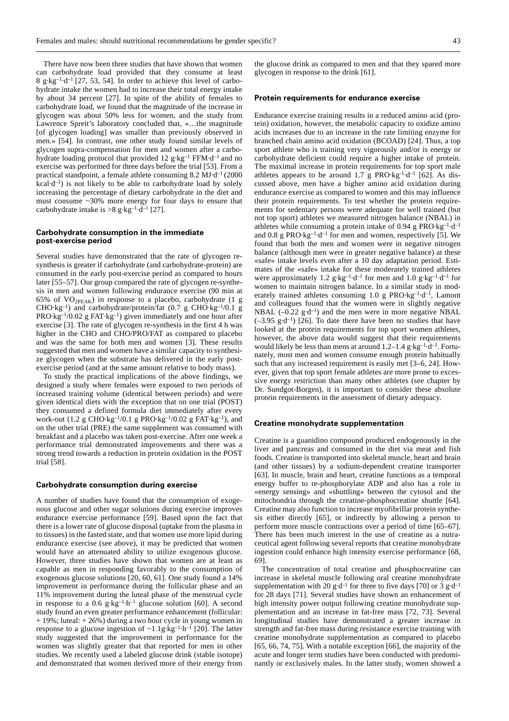There have now been three studies that have shown that women can carbohydrate load provided that they consume at least 8 g·kg<sup>-1</sup>·d<sup>-1</sup> [27, 53, 54]. In order to achieve this level of carbohydrate intake the women had to increase their total energy intake by about 34 percent [27]. In spite of the ability of females to carbohydrate load, we found that the magnitude of the increase in glycogen was about 50% less for women, and the study from Lawrence Spreit's laboratory concluded that, «…the magnitude [of glycogen loading] was smaller than previously observed in men.» [54]. In contrast, one other study found similar levels of glycogen supra-compensation for men and women after a carbohydrate loading protocol that provided 12 g·kg–1 FFM·d–1 and no exercise was performed for three days before the trial [53]. From a practical standpoint, a female athlete consuming  $8.2 \text{ MJ-d}^{-1}$  (2000)  $kcal \cdot d^{-1}$ ) is not likely to be able to carbohydrate load by solely increasing the percentage of dietary carbohydrate in the diet and must consume ~30% more energy for four days to ensure that carbohydrate intake is  $>8$  g·kg<sup>-1</sup>·d<sup>-1</sup> [27].

# **Carbohydrate consumption in the immediate post-exercise period**

Several studies have demonstrated that the rate of glycogen resynthesis is greater if carbohydrate (and carbohydrate-protein) are consumed in the early post-exercise period as compared to hours later [55–57]. Our group compared the rate of glycogen re-synthesis in men and women following endurance exercise (90 min at 65% of  $VO<sub>2PEAK</sub>$ ) in response to a placebo, carbohydrate (1 g CHO·kg–1) and carbohydrate/protein/fat (0.7 g CHO·kg–1/0.1 g PRO·kg–1/0.02 g FAT·kg–1) given immediately and one hour after exercise [3]. The rate of glycogen re-synthesis in the first 4 h was higher in the CHO and CHO/PRO/FAT as compared to placebo and was the same for both men and women [3]. These results suggested that men and women have a similar capacity to synthesize glycogen when the substrate has delivered in the early postexercise period (and at the same amount relative to body mass).

To study the practical implications of the above findings, we designed a study where females were exposed to two periods of increased training volume (identical between periods) and were given identical diets with the exception that on one trial (POST) they consumed a defined formula diet immediately after every work-out (1.2 g CHO·kg<sup>-1</sup>/0.1 g PRO·kg<sup>-1</sup>/0.02 g FAT·kg<sup>-1</sup>), and on the other trial (PRE) the same supplement was consumed with breakfast and a placebo was taken post-exercise. After one week a performance trial demonstrated improvements and there was a strong trend towards a reduction in protein oxidation in the POST trial [58].

#### **Carbohydrate consumption during exercise**

A number of studies have found that the consumption of exogenous glucose and other sugar solutions during exercise improves endurance exercise performance [59]. Based upon the fact that there is a lower rate of glucose disposal (uptake from the plasma in to tissues) in the fasted state, and that women use more lipid during endurance exercise (see above), it may be predicted that women would have an attenuated ability to utilize exogenous glucose. However, three studies have shown that women are at least as capable as men in responding favorably to the consumption of exogenous glucose solutions [20, 60, 61]. One study found a 14% improvement in performance during the follicular phase and an 11% improvement during the luteal phase of the menstrual cycle in response to a 0.6 g·kg<sup>-1</sup>·h<sup>-1</sup> glucose solution [60]. A second study found an even greater performance enhancement (follicular: + 19%; luteal: + 26%) during a two hour cycle in young women in response to a glucose ingestion of  $\sim$ 1.1g·kg<sup>-1</sup>·h<sup>-1</sup> [20]. The latter study suggested that the improvement in performance for the women was slightly greater that that reported for men in other studies. We recently used a labeled glucose drink (stable isotope) and demonstrated that women derived more of their energy from

the glucose drink as compared to men and that they spared more glycogen in response to the drink [61].

# **Protein requirements for endurance exercise**

Endurance exercise training results in a reduced amino acid (protein) oxidation, however, the metabolic capacity to oxidize amino acids increases due to an increase in the rate limiting enzyme for branched chain amino acid oxidation (BCOAD) [24]. Thus, a top sport athlete who is training very vigorously and/or is energy or carbohydrate deficient could require a higher intake of protein. The maximal increase in protein requirements for top sport male athletes appears to be around 1.7 g PRO·kg<sup>-1</sup>·d<sup>-1</sup> [62]. As discussed above, men have a higher amino acid oxidation during endurance exercise as compared to women and this may influence their protein requirements. To test whether the protein requirements for sedentary persons were adequate for well trained (but not top sport) athletes we measured nitrogen balance (NBAL) in athletes while consuming a protein intake of 0.94 g PRO·kg<sup>-1</sup>·d<sup>-1</sup> and 0.8 g PRO $\cdot$ kg<sup>-1</sup> $\cdot$ d<sup>-1</sup> for men and women, respectively [5]. We found that both the men and women were in negative nitrogen balance (although men were in greater negative balance) at these «safe» intake levels even after a 10 day adaptation period. Estimates of the «safe» intake for these moderately trained athletes were approximately 1.2 g·kg<sup>-1</sup>·d<sup>-1</sup> for men and 1.0 g·kg<sup>-1</sup>·d<sup>-1</sup> for women to maintain nitrogen balance. In a similar study in moderately trained athletes consuming  $1.0$  g PRO·kg<sup>-1</sup>·d<sup>-1</sup>, Lamont and colleagues found that the women were in slightly negative NBAL  $(-0.22 \text{ g} \cdot \text{d}^{-1})$  and the men were in more negative NBAL  $(-3.95 \text{ g} \cdot d^{-1})$  [26]. To date there have been no studies that have looked at the protein requirements for top sport women athletes, however, the above data would suggest that their requirements would likely be less than mens at around  $1.2-1.4$  g·kg<sup>-1</sup>·d<sup>-1</sup>. Fortunately, most men and women consume enough protein habitually such that any increased requirement is easily met [3–6, 24]. However, given that top sport female athletes are more prone to excessive energy restriction than many other athletes (see chapter by Dr. Sundgot-Borgen), it is important to consider these absolute protein requirements in the assessment of dietary adequacy.

#### **Creatine monohydrate supplementation**

Creatine is a guanidino compound produced endogenously in the liver and pancreas and consumed in the diet via meat and fish foods. Creatine is transported into skeletal muscle, heart and brain (and other tissues) by a sodium-dependent creatine transporter [63]. In muscle, brain and heart, creatine functions as a temporal energy buffer to re-phosphorylate ADP and also has a role in «energy sensing» and «shuttling» between the cytosol and the mitochondria through the creatine-phosphocreatine shuttle [64]. Creatine may also function to increase myofibrillar protein synthesis either directly [65], or indirectly by allowing a person to perform more muscle contractions over a period of time [65–67]. There has been much interest in the use of creatine as a nutraceutical agent following several reports that creatine monohydrate ingestion could enhance high intensity exercise performance [68, 69].

The concentration of total creatine and phosphocreatine can increase in skeletal muscle following oral creatine monohydrate supplementation with 20 g·d<sup>-1</sup> for three to five days [70] or 3 g·d<sup>-1</sup> for 28 days [71]. Several studies have shown an enhancement of high intensity power output following creatine monohydrate supplementation and an increase in fat-free mass [72, 73]. Several longitudinal studies have demonstrated a greater increase in strength and fat-free mass during resistance exercise training with creatine monohydrate supplementation as compared to placebo [65, 66, 74, 75]. With a notable exception [66], the majority of the acute and longer term studies have been conducted with predominantly or exclusively males. In the latter study, women showed a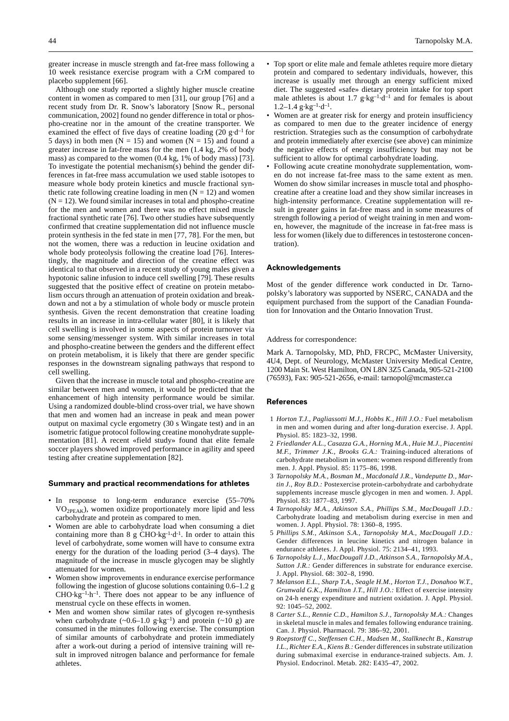greater increase in muscle strength and fat-free mass following a 10 week resistance exercise program with a CrM compared to placebo supplement [66].

Although one study reported a slightly higher muscle creatine content in women as compared to men [31], our group [76] and a recent study from Dr. R. Snow's laboratory [Snow R., personal communication, 2002] found no gender difference in total or phospho-creatine nor in the amount of the creatine transporter. We examined the effect of five days of creatine loading  $(20 \text{ g-d}^{-1}$  for 5 days) in both men ( $N = 15$ ) and women ( $N = 15$ ) and found a greater increase in fat-free mass for the men (1.4 kg, 2% of body mass) as compared to the women (0.4 kg, 1% of body mass) [73]. To investigate the potential mechanism(s) behind the gender differences in fat-free mass accumulation we used stable isotopes to measure whole body protein kinetics and muscle fractional synthetic rate following creatine loading in men  $(N = 12)$  and women  $(N = 12)$ . We found similar increases in total and phospho-creatine for the men and women and there was no effect mixed muscle fractional synthetic rate [76]. Two other studies have subsequently confirmed that creatine supplementation did not influence muscle protein synthesis in the fed state in men [77, 78]. For the men, but not the women, there was a reduction in leucine oxidation and whole body proteolysis following the creatine load [76]. Interestingly, the magnitude and direction of the creatine effect was identical to that observed in a recent study of young males given a hypotonic saline infusion to induce cell swelling [79]. These results suggested that the positive effect of creatine on protein metabolism occurs through an attenuation of protein oxidation and breakdown and not a by a stimulation of whole body or muscle protein synthesis. Given the recent demonstration that creatine loading results in an increase in intra-cellular water [80], it is likely that cell swelling is involved in some aspects of protein turnover via some sensing/messenger system. With similar increases in total and phospho-creatine between the genders and the different effect on protein metabolism, it is likely that there are gender specific responses in the downstream signaling pathways that respond to cell swelling.

Given that the increase in muscle total and phospho-creatine are similar between men and women, it would be predicted that the enhancement of high intensity performance would be similar. Using a randomized double-blind cross-over trial, we have shown that men and women had an increase in peak and mean power output on maximal cycle ergometry (30 s Wingate test) and in an isometric fatigue protocol following creatine monohydrate supplementation [81]. A recent «field study» found that elite female soccer players showed improved performance in agility and speed testing after creatine supplementation [82].

## **Summary and practical recommendations for athletes**

- In response to long-term endurance exercise (55–70%)  $VO<sub>2PEAK</sub>$ , women oxidize proportionately more lipid and less carbohydrate and protein as compared to men.
- Women are able to carbohydrate load when consuming a diet containing more than 8 g CHO·kg<sup>-1</sup>·d<sup>-1</sup>. In order to attain this level of carbohydrate, some women will have to consume extra energy for the duration of the loading period (3–4 days). The magnitude of the increase in muscle glycogen may be slightly attenuated for women.
- Women show improvements in endurance exercise performance following the ingestion of glucose solutions containing 0.6–1.2 g  $CHO·kg^{-1}·h^{-1}$ . There does not appear to be any influence of menstrual cycle on these effects in women.
- Men and women show similar rates of glycogen re-synthesis when carbohydrate  $({\sim}0.6{\text -}1.0 \text{ g}\cdot\text{kg}^{-1})$  and protein  $({\sim}10 \text{ g})$  are consumed in the minutes following exercise. The consumption of similar amounts of carbohydrate and protein immediately after a work-out during a period of intensive training will result in improved nitrogen balance and performance for female athletes.
- Top sport or elite male and female athletes require more dietary protein and compared to sedentary individuals, however, this increase is usually met through an energy sufficient mixed diet. The suggested «safe» dietary protein intake for top sport male athletes is about 1.7  $g \cdot kg^{-1} \cdot d^{-1}$  and for females is about 1.2–1.4  $g \cdot kg^{-1} \cdot d^{-1}$ .
- Women are at greater risk for energy and protein insufficiency as compared to men due to the greater incidence of energy restriction. Strategies such as the consumption of carbohydrate and protein immediately after exercise (see above) can minimize the negative effects of energy insufficiency but may not be sufficient to allow for optimal carbohydrate loading.
- Following acute creatine monohydrate supplementation, women do not increase fat-free mass to the same extent as men. Women do show similar increases in muscle total and phosphocreatine after a creatine load and they show similar increases in high-intensity performance. Creatine supplementation will result in greater gains in fat-free mass and in some measures of strength following a period of weight training in men and women, however, the magnitude of the increase in fat-free mass is less for women (likely due to differences in testosterone concentration).

#### **Acknowledgements**

Most of the gender difference work conducted in Dr. Tarnopolsky's laboratory was supported by NSERC, CANADA and the equipment purchased from the support of the Canadian Foundation for Innovation and the Ontario Innovation Trust.

#### Address for correspondence:

Mark A. Tarnopolsky, MD, PhD, FRCPC, McMaster University, 4U4, Dept. of Neurology, McMaster University Medical Centre, 1200 Main St. West Hamilton, ON L8N 3Z5 Canada, 905-521-2100 (76593), Fax: 905-521-2656, e-mail: tarnopol@mcmaster.ca

#### **References**

- 1 *Horton T.J., Pagliassotti M.J., Hobbs K., Hill J.O.:* Fuel metabolism in men and women during and after long-duration exercise. J. Appl. Physiol. 85: 1823–32, 1998.
- 2 *Friedlander A.L., Casazza G.A., Horning M.A., Huie M.J., Piacentini M.F., Trimmer J.K., Brooks G.A.:* Training-induced alterations of carbohydrate metabolism in women: women respond differently from men. J. Appl. Physiol. 85: 1175–86, 1998.
- 3 *Tarnopolsky M.A., Bosman M., Macdonald J.R., Vandeputte D., Martin J., Roy B.D.:* Postexercise protein-carbohydrate and carbohydrate supplements increase muscle glycogen in men and women. J. Appl. Physiol. 83: 1877–83, 1997.
- 4 *Tarnopolsky M.A., Atkinson S.A., Phillips S.M., MacDougall J.D.:* Carbohydrate loading and metabolism during exercise in men and women. J. Appl. Physiol. 78: 1360–8, 1995.
- 5 *Phillips S.M., Atkinson S.A., Tarnopolsky M.A., MacDougall J.D.:* Gender differences in leucine kinetics and nitrogen balance in endurance athletes. J. Appl. Physiol. 75: 2134–41, 1993.
- 6 *Tarnopolsky L.J., MacDougall J.D., Atkinson S.A., Tarnopolsky M.A., Sutton J.R.:* Gender differences in substrate for endurance exercise. J. Appl. Physiol. 68: 302–8, 1990.
- 7 *Melanson E.L., Sharp T.A., Seagle H.M., Horton T.J., Donahoo W.T., Grunwald G.K., Hamilton J.T., Hill J.O.:* Effect of exercise intensity on 24-h energy expenditure and nutrient oxidation. J. Appl. Physiol. 92: 1045–52, 2002.
- 8 *Carter S.L., Rennie C.D., Hamilton S.J., Tarnopolsky M.A.:* Changes in skeletal muscle in males and females following endurance training. Can. J. Physiol. Pharmacol. 79: 386–92, 2001.
- 9 *Roepstorff C., Steffensen C.H., Madsen M., Stallknecht B., Kanstrup I.L., Richter E.A., Kiens B.:* Gender differences in substrate utilization during submaximal exercise in endurance-trained subjects. Am. J. Physiol. Endocrinol. Metab. 282: E435–47, 2002.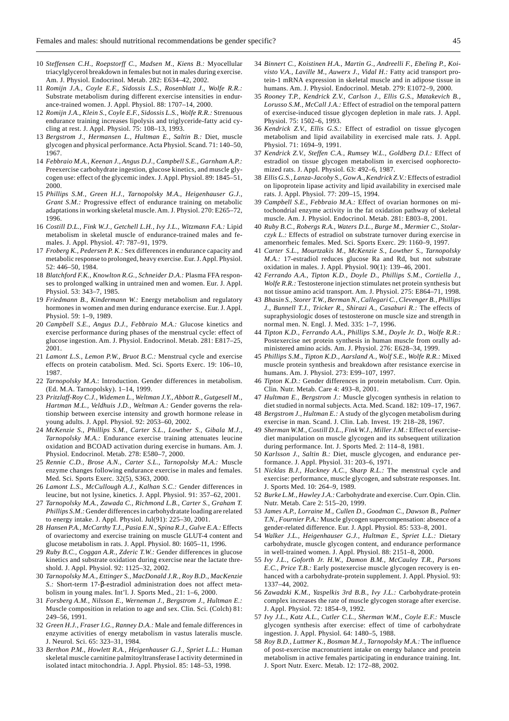- 10 *Steffensen C.H., Roepstorff C., Madsen M., Kiens B.:* Myocellular triacylglycerol breakdown in females but not in males during exercise. Am. J. Physiol. Endocrinol. Metab. 282: E634–42, 2002*.*
- 11 *Romijn J.A., Coyle E.F., Sidossis L.S., Rosenblatt J., Wolfe R.R.:* Substrate metabolism during different exercise intensities in endurance-trained women. J. Appl. Physiol. 88: 1707–14, 2000.
- 12 *Romijn J.A., Klein S., Coyle E.F., Sidossis L.S., Wolfe R.R.:* Strenuous endurance training increases lipolysis and triglyceride-fatty acid cycling at rest. J. Appl. Physiol. 75: 108–13, 1993.
- 13 *Bergstrom J., Hermansen L., Hultman E., Saltin B.:* Diet, muscle glycogen and physical performance. Acta Physiol. Scand. 71: 140–50, 1967.
- 14 *Febbraio M.A., Keenan J., Angus D.J., Campbell S.E., Garnham A.P.:* Preexercise carbohydrate ingestion, glucose kinetics, and muscle glycogen use: effect of the glycemic index. J. Appl. Physiol. 89: 1845–51, 2000.
- 15 *Phillips S.M., Green H.J., Tarnopolsky M.A., Heigenhauser G.J., Grant S.M.:* Progressive effect of endurance training on metabolic adaptations in working skeletal muscle. Am. J. Physiol. 270: E265–72, 1996.
- 16 *Costill D.L., Fink W.J., Getchell L.H., Ivy J.L., Witzmann F.A.:* Lipid metabolism in skeletal muscle of endurance-trained males and females. J. Appl. Physiol. 47: 787–91, 1979.
- 17 *Froberg K., Pedersen P. K.:* Sex differences in endurance capacity and metabolic response to prolonged, heavy exercise. Eur. J. Appl. Physiol. 52: 446–50, 1984.
- 18 *Blatchford F.K., Knowlton R.G., Schneider D.A.:* Plasma FFA responses to prolonged walking in untrained men and women. Eur. J. Appl. Physiol. 53: 343–7, 1985.
- 19 *Friedmann B., Kindermann W.:* Energy metabolism and regulatory hormones in women and men during endurance exercise. Eur. J. Appl. Physiol. 59: 1–9, 1989.
- 20 *Campbell S.E., Angus D.J., Febbraio M.A.:* Glucose kinetics and exercise performance during phases of the menstrual cycle: effect of glucose ingestion. Am. J. Physiol. Endocrinol. Metab. 281: E817–25, 2001.
- 21 *Lamont L.S., Lemon P.W., Bruot B.C.:* Menstrual cycle and exercise effects on protein catabolism. Med. Sci. Sports Exerc. 19: 106–10, 1987.
- 22 *Tarnopolsky M.A*.: Introduction. Gender differences in metabolism. (Ed. M.A. Tarnopolsky). 1–14, 1999.
- 23 *Pritzlaff-Roy C.J., Widemen L., Weltman J.Y., Abbott R., Gutgesell M., Hartman M.L., Veldhuis J.D., Weltman A.:* Gender governs the relationship between exercise intensity and growth hormone release in young adults. J. Appl. Physiol. 92: 2053–60, 2002.
- 24 *McKenzie S., Phillips S.M., Carter S.L., Lowther S., Gibala M.J., Tarnopolsky M.A.:* Endurance exercise training attenuates leucine oxidation and BCOAD activation during exercise in humans. Am. J. Physiol. Endocrinol. Metab. 278: E580–7, 2000.
- 25 *Rennie C.D., Brose A.N., Carter S.L., Tarnopolsky M.A.:* Muscle enzyme changes following endurance exercise in males and females. Med. Sci. Sports Exerc. 32(5), S363, 2000.
- 26 *Lamont L.S., McCullough A.J., Kalhan S.C.:* Gender differences in leucine, but not lysine, kinetics. J. Appl. Physiol. 91: 357–62, 2001.
- 27 *Tarnopolsky M.A., Zawada C., Richmond L.B., Carter S., Graham T. Phillips S.M.:* Gender differences in carbohydratate loading are related to energy intake. J. Appl. Physiol. Jul(91): 225–30, 2001.
- 28 *Hansen P.A., McCarthy T.J., Pasia E.N., Spina R.J., Gulve E.A.:* Effects of ovariectomy and exercise training on muscle GLUT-4 content and glucose metabolism in rats. J. Appl. Physiol. 80: 1605–11, 1996.
- 29 *Ruby B.C., Coggan A.R., Zderic T.W.:* Gender differences in glucose kinetics and substrate oxidation during exercise near the lactate threshold. J. Appl. Physiol. 92: 1125–32, 2002.
- 30 *Tarnopolsky M.A., Ettinger S., MacDonald J.R., Roy B.D., MacKenzie S.:* Short-term 17-β-estradiol administration does not affect metabolism in young males. Int'l. J. Sports Med., 21: 1–6, 2000.
- 31 *Forsberg A.M., Nilsson E., Werneman J., Bergstrom J., Hultman E.:* Muscle composition in relation to age and sex. Clin. Sci. (Colch) 81: 249–56, 1991.
- 32 *Green H.J., Fraser I.G., Ranney D.A.:* Male and female differences in enzyme activities of energy metabolism in vastus lateralis muscle. J. Neurol. Sci. 65: 323–31, 1984.
- 33 *Berthon P.M., Howlett R.A., Heigenhauser G.J., Spriet L.L.:* Human skeletal muscle carnitine palmitoyltransferase I activity determined in isolated intact mitochondria. J. Appl. Physiol. 85: 148–53, 1998.
- 34 *Binnert C., Koistinen H.A., Martin G., Andreelli F., Ebeling P., Koivisto V.A., Laville M., Auwerx J., Vidal H.:* Fatty acid transport protein-1 mRNA expression in skeletal muscle and in adipose tissue in humans. Am. J. Physiol. Endocrinol. Metab. 279: E1072–9, 2000.
- 35 *Rooney T.P., Kendrick Z.V., Carlson J., Ellis G.S., Matakevich B., Lorusso S.M., McCall J.A.:* Effect of estradiol on the temporal pattern of exercise-induced tissue glycogen depletion in male rats. J. Appl. Physiol. 75: 1502–6, 1993.
- 36 *Kendrick Z.V., Ellis G.S.:* Effect of estradiol on tissue glycogen metabolism and lipid availability in exercised male rats. J. Appl. Physiol. 71: 1694–9, 1991.
- 37 *Kendrick Z.V., Steffen C.A., Rumsey W.L., Goldberg D.I.:* Effect of estradiol on tissue glycogen metabolism in exercised oophorectomized rats. J. Appl. Physiol. 63: 492–6, 1987.
- 38 *Ellis G.S., Lanza-Jacoby S., Gow A., Kendrick Z.V.:* Effects of estradiol on lipoprotein lipase activity and lipid availability in exercised male rats. J. Appl. Physiol. 77: 209–15, 1994.
- 39 *Campbell S.E., Febbraio M.A.:* Effect of ovarian hormones on mitochondrial enzyme activity in the fat oxidation pathway of skeletal muscle. Am. J. Physiol. Endocrinol. Metab. 281: E803–8, 2001.
- 40 *Ruby B.C., Robergs R.A., Waters D.L., Burge M., Mermier C., Stolarczyk L.:* Effects of estradiol on substrate turnover during exercise in amenorrheic females. Med. Sci. Sports Exerc. 29: 1160–9, 1997.
- 41 *Carter S.L., Mourtzakis M., McKenzie S., Lowther S., Tarnopolsky M.A.:* 17-estradiol reduces glucose Ra and Rd, but not substrate oxidation in males. J. Appl. Physiol. 90(1): 139–46, 2001.
- 42 *Ferrando A.A., Tipton K.D., Doyle D., Phillips S.M., Cortiella J., Wolfe R.R.:* Testosterone injection stimulates net protein synthesis but not tissue amino acid transport. Am. J. Physiol. 275: E864–71, 1998.
- 43 *Bhasin S., Storer T.W., Berman N., Callegari C., Clevenger B., Phillips J., Bunnell T.J., Tricker R., Shirazi A., Casaburi R.:* The effects of supraphysiologic doses of testosterone on muscle size and strength in normal men. N. Engl. J. Med. 335: 1–7, 1996.
- 44 *Tipton K.D., Ferrando A.A., Phillips S.M., Doyle Jr. D., Wolfe R.R.:* Postexercise net protein synthesis in human muscle from orally administered amino acids. Am. J. Physiol. 276: E628–34, 1999.
- 45 *Phillips S.M., Tipton K.D., Aarsland A., Wolf S.E., Wolfe R.R.:* Mixed muscle protein synthesis and breakdown after resistance exercise in humans. Am. J. Physiol. 273: E99–107, 1997.
- 46 *Tipton K.D.:* Gender differences in protein metabolism. Curr. Opin. Clin. Nutr. Metab. Care 4: 493–8, 2001.
- 47 *Hultman E., Bergstrom J.:* Muscle glycogen synthesis in relation to diet studied in normal subjects. Acta. Med. Scand. 182: 109–17, 1967.
- 48 *Bergstrom J., Hultman E.:* A study of the glycogen metabolism during exercise in man. Scand. J. Clin. Lab. Invest. 19: 218–28, 1967.
- 49 *Sherman W.M., Costill D.L., Fink W.J., Miller J.M.:* Effect of exercisediet manipulation on muscle glycogen and its subsequent utilization during performance. Int. J. Sports Med. 2: 114–8, 1981.
- 50 *Karlsson J., Saltin B.:* Diet, muscle glycogen, and endurance performance. J. Appl. Physiol. 31: 203–6, 1971.
- 51 *Nicklas B.J., Hackney A.C., Sharp R.L.:* The menstrual cycle and exercise: performance, muscle glycogen, and substrate responses. Int. J. Sports Med. 10: 264–9, 1989.
- 52 *Burke L.M., Hawley J.A.:* Carbohydrate and exercise. Curr. Opin. Clin. Nutr. Metab. Care 2: 515–20, 1999.
- 53 *James A.P., Lorraine M., Cullen D., Goodman C., Dawson B., Palmer T.N., Fournier P.A.:* Muscle glycogen supercompensation: absence of a gender-related difference. Eur. J. Appl. Physiol. 85: 533–8, 2001.
- 54 *Walker J.L., Heigenhauser G.J., Hultman E., Spriet L.L.:* Dietary carbohydrate, muscle glycogen content, and endurance performance in well-trained women. J. Appl. Physiol. 88: 2151–8, 2000.
- 55 *Ivy J.L., Goforth Jr. H.W., Damon B.M., McCauley T.R., Parsons E.C., Price T.B.:* Early postexercise muscle glycogen recovery is enhanced with a carbohydrate-protein supplement. J. Appl. Physiol. 93: 1337–44, 2002.
- 56 *Zawadzki K.M., Yaspelkis 3rd B.B., Ivy J.L.:* Carbohydrate-protein complex increases the rate of muscle glycogen storage after exercise. J. Appl. Physiol. 72: 1854–9, 1992.
- 57 *Ivy J.L., Katz A.L., Cutler C.L., Sherman W.M., Coyle E.F.:* Muscle glycogen synthesis after exercise: effect of time of carbohydrate ingestion. J. Appl. Physiol. 64: 1480–5, 1988.
- 58 *Roy B.D., Luttmer K., Bosman M.J., Tarnopolsky M.A.:* The influence of post-exercise macronutrient intake on energy balance and protein metabolism in active females participating in endurance training. Int. J. Sport Nutr. Exerc. Metab. 12: 172–88, 2002.